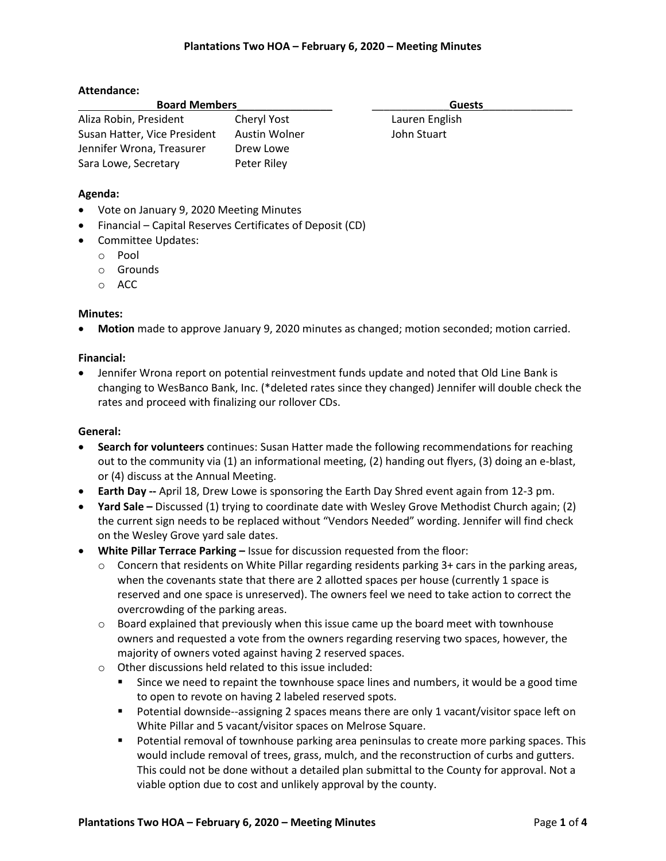# **Attendance:**

| <b>Board Members</b>         |               | <b>Guests</b>  |  |
|------------------------------|---------------|----------------|--|
| Aliza Robin, President       | Cheryl Yost   | Lauren English |  |
| Susan Hatter, Vice President | Austin Wolner | John Stuart    |  |
| Jennifer Wrona, Treasurer    | Drew Lowe     |                |  |
| Sara Lowe, Secretary         | Peter Riley   |                |  |

# **Agenda:**

- Vote on January 9, 2020 Meeting Minutes
- Financial Capital Reserves Certificates of Deposit (CD)
- Committee Updates:
	- o Pool
	- o Grounds
	- o ACC

# **Minutes:**

**Motion** made to approve January 9, 2020 minutes as changed; motion seconded; motion carried.

# **Financial:**

 Jennifer Wrona report on potential reinvestment funds update and noted that Old Line Bank is changing to WesBanco Bank, Inc. (\*deleted rates since they changed) Jennifer will double check the rates and proceed with finalizing our rollover CDs.

### **General:**

- **Search for volunteers** continues: Susan Hatter made the following recommendations for reaching out to the community via (1) an informational meeting, (2) handing out flyers, (3) doing an e-blast, or (4) discuss at the Annual Meeting.
- **Earth Day --** April 18, Drew Lowe is sponsoring the Earth Day Shred event again from 12-3 pm.
- **Yard Sale –** Discussed (1) trying to coordinate date with Wesley Grove Methodist Church again; (2) the current sign needs to be replaced without "Vendors Needed" wording. Jennifer will find check on the Wesley Grove yard sale dates.
- **•** White Pillar Terrace Parking Issue for discussion requested from the floor:
	- $\circ$  Concern that residents on White Pillar regarding residents parking 3+ cars in the parking areas, when the covenants state that there are 2 allotted spaces per house (currently 1 space is reserved and one space is unreserved). The owners feel we need to take action to correct the overcrowding of the parking areas.
	- $\circ$  Board explained that previously when this issue came up the board meet with townhouse owners and requested a vote from the owners regarding reserving two spaces, however, the majority of owners voted against having 2 reserved spaces.
	- o Other discussions held related to this issue included:
		- Since we need to repaint the townhouse space lines and numbers, it would be a good time to open to revote on having 2 labeled reserved spots.
		- Potential downside--assigning 2 spaces means there are only 1 vacant/visitor space left on White Pillar and 5 vacant/visitor spaces on Melrose Square.
		- **Potential removal of townhouse parking area peninsulas to create more parking spaces. This** would include removal of trees, grass, mulch, and the reconstruction of curbs and gutters. This could not be done without a detailed plan submittal to the County for approval. Not a viable option due to cost and unlikely approval by the county.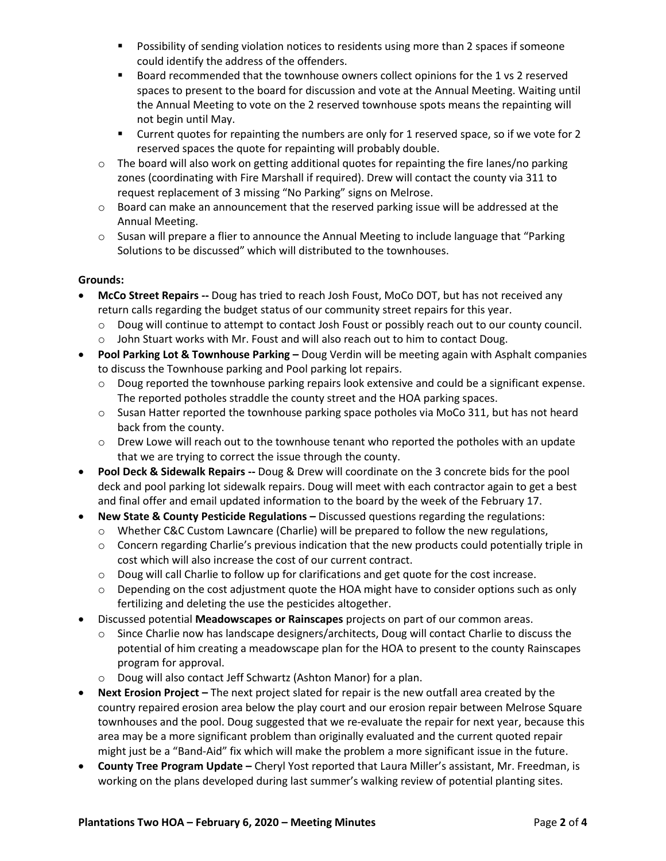- **Possibility of sending violation notices to residents using more than 2 spaces if someone** could identify the address of the offenders.
- Board recommended that the townhouse owners collect opinions for the 1 vs 2 reserved spaces to present to the board for discussion and vote at the Annual Meeting. Waiting until the Annual Meeting to vote on the 2 reserved townhouse spots means the repainting will not begin until May.
- Current quotes for repainting the numbers are only for 1 reserved space, so if we vote for 2 reserved spaces the quote for repainting will probably double.
- $\circ$  The board will also work on getting additional quotes for repainting the fire lanes/no parking zones (coordinating with Fire Marshall if required). Drew will contact the county via 311 to request replacement of 3 missing "No Parking" signs on Melrose.
- $\circ$  Board can make an announcement that the reserved parking issue will be addressed at the Annual Meeting.
- o Susan will prepare a flier to announce the Annual Meeting to include language that "Parking Solutions to be discussed" which will distributed to the townhouses.

# **Grounds:**

- **McCo Street Repairs --** Doug has tried to reach Josh Foust, MoCo DOT, but has not received any return calls regarding the budget status of our community street repairs for this year.
	- o Doug will continue to attempt to contact Josh Foust or possibly reach out to our county council.
	- $\circ$  John Stuart works with Mr. Foust and will also reach out to him to contact Doug.
- **Pool Parking Lot & Townhouse Parking –** Doug Verdin will be meeting again with Asphalt companies to discuss the Townhouse parking and Pool parking lot repairs.
	- o Doug reported the townhouse parking repairs look extensive and could be a significant expense. The reported potholes straddle the county street and the HOA parking spaces.
	- $\circ$  Susan Hatter reported the townhouse parking space potholes via MoCo 311, but has not heard back from the county.
	- $\circ$  Drew Lowe will reach out to the townhouse tenant who reported the potholes with an update that we are trying to correct the issue through the county.
- **Pool Deck & Sidewalk Repairs --** Doug & Drew will coordinate on the 3 concrete bids for the pool deck and pool parking lot sidewalk repairs. Doug will meet with each contractor again to get a best and final offer and email updated information to the board by the week of the February 17.
- **New State & County Pesticide Regulations –** Discussed questions regarding the regulations:
	- o Whether C&C Custom Lawncare (Charlie) will be prepared to follow the new regulations,
	- $\circ$  Concern regarding Charlie's previous indication that the new products could potentially triple in cost which will also increase the cost of our current contract.
	- o Doug will call Charlie to follow up for clarifications and get quote for the cost increase.
	- $\circ$  Depending on the cost adjustment quote the HOA might have to consider options such as only fertilizing and deleting the use the pesticides altogether.
- Discussed potential **Meadowscapes or Rainscapes** projects on part of our common areas.
	- o Since Charlie now has landscape designers/architects, Doug will contact Charlie to discuss the potential of him creating a meadowscape plan for the HOA to present to the county Rainscapes program for approval.
	- o Doug will also contact Jeff Schwartz (Ashton Manor) for a plan.
- **•** Next Erosion Project The next project slated for repair is the new outfall area created by the country repaired erosion area below the play court and our erosion repair between Melrose Square townhouses and the pool. Doug suggested that we re-evaluate the repair for next year, because this area may be a more significant problem than originally evaluated and the current quoted repair might just be a "Band-Aid" fix which will make the problem a more significant issue in the future.
- **County Tree Program Update –** Cheryl Yost reported that Laura Miller's assistant, Mr. Freedman, is working on the plans developed during last summer's walking review of potential planting sites.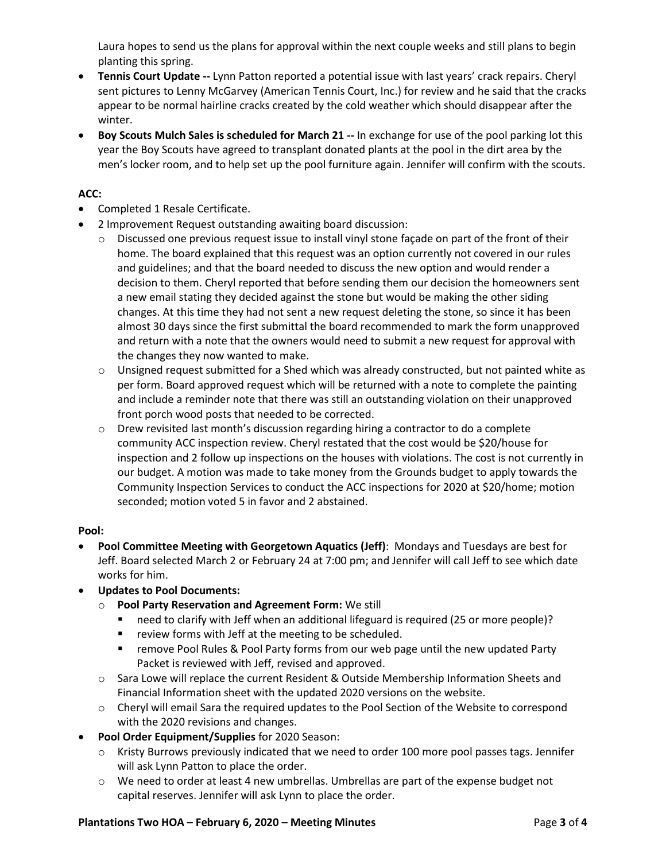Laura hopes to send us the plans for approval within the next couple weeks and still plans to begin planting this spring.

- **Tennis Court Update --** Lynn Patton reported a potential issue with last years' crack repairs. Cheryl sent pictures to Lenny McGarvey (American Tennis Court, Inc.) for review and he said that the cracks appear to be normal hairline cracks created by the cold weather which should disappear after the winter.
- **Boy Scouts Mulch Sales is scheduled for March 21 --** In exchange for use of the pool parking lot this year the Boy Scouts have agreed to transplant donated plants at the pool in the dirt area by the men's locker room, and to help set up the pool furniture again. Jennifer will confirm with the scouts.

# **ACC:**

- Completed 1 Resale Certificate.
- 2 Improvement Request outstanding awaiting board discussion:
	- o Discussed one previous request issue to install vinyl stone façade on part of the front of their home. The board explained that this request was an option currently not covered in our rules and guidelines; and that the board needed to discuss the new option and would render a decision to them. Cheryl reported that before sending them our decision the homeowners sent a new email stating they decided against the stone but would be making the other siding changes. At this time they had not sent a new request deleting the stone, so since it has been almost 30 days since the first submittal the board recommended to mark the form unapproved and return with a note that the owners would need to submit a new request for approval with the changes they now wanted to make.
	- $\circ$  Unsigned request submitted for a Shed which was already constructed, but not painted white as per form. Board approved request which will be returned with a note to complete the painting and include a reminder note that there was still an outstanding violation on their unapproved front porch wood posts that needed to be corrected.
	- $\circ$  Drew revisited last month's discussion regarding hiring a contractor to do a complete community ACC inspection review. Cheryl restated that the cost would be \$20/house for inspection and 2 follow up inspections on the houses with violations. The cost is not currently in our budget. A motion was made to take money from the Grounds budget to apply towards the Community Inspection Services to conduct the ACC inspections for 2020 at \$20/home; motion seconded; motion voted 5 in favor and 2 abstained.

# **Pool:**

- **Pool Committee Meeting with Georgetown Aquatics (Jeff)**: Mondays and Tuesdays are best for Jeff. Board selected March 2 or February 24 at 7:00 pm; and Jennifer will call Jeff to see which date works for him.
- **Updates to Pool Documents:**
	- o **Pool Party Reservation and Agreement Form:** We still
		- need to clarify with Jeff when an additional lifeguard is required (25 or more people)?
		- **•** review forms with Jeff at the meeting to be scheduled.
		- **F** remove Pool Rules & Pool Party forms from our web page until the new updated Party Packet is reviewed with Jeff, revised and approved.
	- o Sara Lowe will replace the current Resident & Outside Membership Information Sheets and Financial Information sheet with the updated 2020 versions on the website.
	- o Cheryl will email Sara the required updates to the Pool Section of the Website to correspond with the 2020 revisions and changes.
- **Pool Order Equipment/Supplies** for 2020 Season:
	- o Kristy Burrows previously indicated that we need to order 100 more pool passes tags. Jennifer will ask Lynn Patton to place the order.
	- o We need to order at least 4 new umbrellas. Umbrellas are part of the expense budget not capital reserves. Jennifer will ask Lynn to place the order.